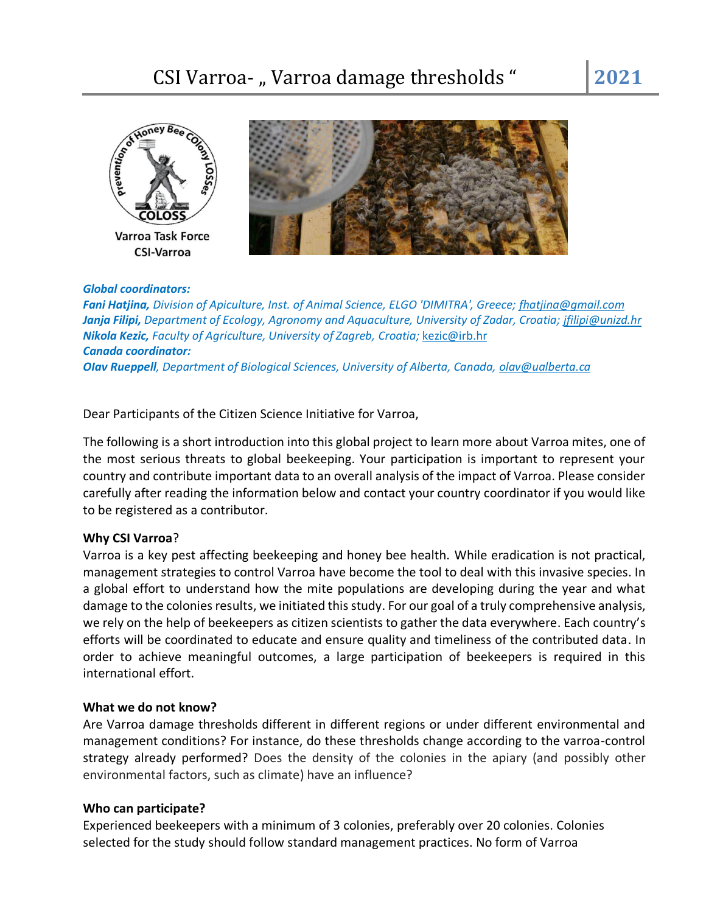



### *Global coordinators:*

*Fani Hatjina, Division of Apiculture, Inst. of Animal Science, ELGO 'DIMITRA', Greece; fhatjina@gmail.com Janja Filipi, Department of Ecology, Agronomy and Aquaculture, University of Zadar, Croatia[; jfilipi@unizd.hr](mailto:jfilipi@unizd.hr) Nikola Kezic, Faculty of Agriculture, University of Zagreb, Croatia;* [kezic@irb.hr](mailto:kezic@irb.hr) *Canada coordinator: OIav Rueppell, Department of Biological Sciences, University of Alberta, Canada, olav@ualberta.ca*

Dear Participants of the Citizen Science Initiative for Varroa,

The following is a short introduction into this global project to learn more about Varroa mites, one of the most serious threats to global beekeeping. Your participation is important to represent your country and contribute important data to an overall analysis of the impact of Varroa. Please consider carefully after reading the information below and contact your country coordinator if you would like to be registered as a contributor.

## **Why CSI Varroa**?

Varroa is a key pest affecting beekeeping and honey bee health. While eradication is not practical, management strategies to control Varroa have become the tool to deal with this invasive species. In a global effort to understand how the mite populations are developing during the year and what damage to the colonies results, we initiated this study. For our goal of a truly comprehensive analysis, we rely on the help of beekeepers as citizen scientists to gather the data everywhere. Each country's efforts will be coordinated to educate and ensure quality and timeliness of the contributed data. In order to achieve meaningful outcomes, a large participation of beekeepers is required in this international effort.

## **What we do not know?**

Are Varroa damage thresholds different in different regions or under different environmental and management conditions? For instance, do these thresholds change according to the varroa-control strategy already performed? Does the density of the colonies in the apiary (and possibly other environmental factors, such as climate) have an influence?

## **Who can participate?**

Experienced beekeepers with a minimum of 3 colonies, preferably over 20 colonies. Colonies selected for the study should follow standard management practices. No form of Varroa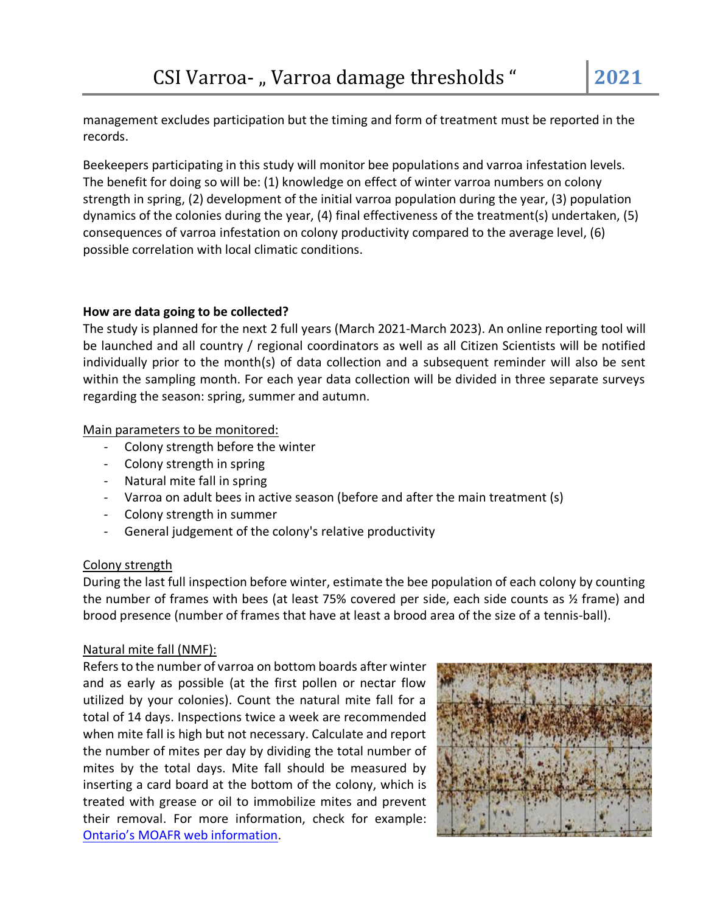management excludes participation but the timing and form of treatment must be reported in the records.

Beekeepers participating in this study will monitor bee populations and varroa infestation levels. The benefit for doing so will be: (1) knowledge on effect of winter varroa numbers on colony strength in spring, (2) development of the initial varroa population during the year, (3) population dynamics of the colonies during the year, (4) final effectiveness of the treatment(s) undertaken, (5) consequences of varroa infestation on colony productivity compared to the average level, (6) possible correlation with local climatic conditions.

## **How are data going to be collected?**

The study is planned for the next 2 full years (March 2021-March 2023). An online reporting tool will be launched and all country / regional coordinators as well as all Citizen Scientists will be notified individually prior to the month(s) of data collection and a subsequent reminder will also be sent within the sampling month. For each year data collection will be divided in three separate surveys regarding the season: spring, summer and autumn.

## Main parameters to be monitored:

- Colony strength before the winter
- Colony strength in spring
- Natural mite fall in spring
- Varroa on adult bees in active season (before and after the main treatment (s)
- Colony strength in summer
- General judgement of the colony's relative productivity

## Colony strength

During the last full inspection before winter, estimate the bee population of each colony by counting the number of frames with bees (at least 75% covered per side, each side counts as ½ frame) and brood presence (number of frames that have at least a brood area of the size of a tennis-ball).

## Natural mite fall (NMF):

Refers to the number of varroa on bottom boards after winter and as early as possible (at the first pollen or nectar flow utilized by your colonies). Count the natural mite fall for a total of 14 days. Inspections twice a week are recommended when mite fall is high but not necessary. Calculate and report the number of mites per day by dividing the total number of mites by the total days. Mite fall should be measured by inserting a card board at the bottom of the colony, which is treated with grease or oil to immobilize mites and prevent their removal. For more information, check for example: [Ontario's MOAFR web information](http://www.omafra.gov.on.ca/english/food/inspection/bees/varroa-sampling.htm).